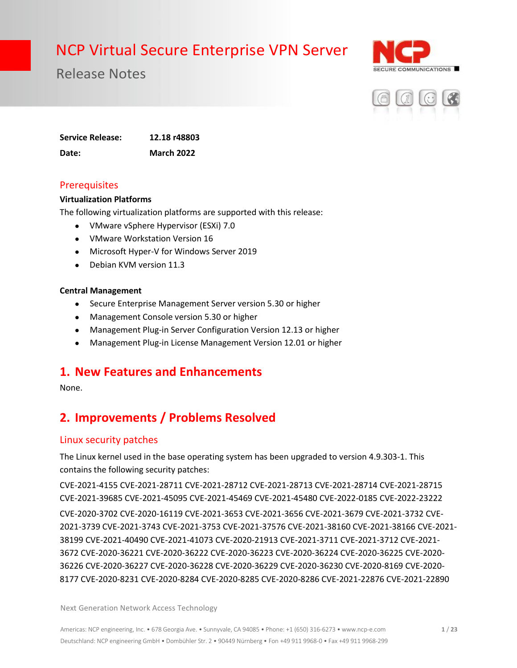

Release Notes



**Service Release: 12.18 r48803 Date: March 2022**

#### **Prerequisites**

#### **Virtualization Platforms**

The following virtualization platforms are supported with this release:

- VMware vSphere Hypervisor (ESXi) 7.0
- VMware Workstation Version 16
- Microsoft Hyper-V for Windows Server 2019
- Debian KVM version 11.3

#### **Central Management**

- Secure Enterprise Management Server version 5.30 or higher
- Management Console version 5.30 or higher
- Management Plug-in Server Configuration Version 12.13 or higher
- Management Plug-in License Management Version 12.01 or higher

### **1. New Features and Enhancements**

None.

## **2. Improvements / Problems Resolved**

#### Linux security patches

The Linux kernel used in the base operating system has been upgraded to version 4.9.303-1. This contains the following security patches:

CVE-2021-4155 CVE-2021-28711 CVE-2021-28712 CVE-2021-28713 CVE-2021-28714 CVE-2021-28715 CVE-2021-39685 CVE-2021-45095 CVE-2021-45469 CVE-2021-45480 CVE-2022-0185 CVE-2022-23222 CVE-2020-3702 CVE-2020-16119 CVE-2021-3653 CVE-2021-3656 CVE-2021-3679 CVE-2021-3732 CVE-2021-3739 CVE-2021-3743 CVE-2021-3753 CVE-2021-37576 CVE-2021-38160 CVE-2021-38166 CVE-2021- 38199 CVE-2021-40490 CVE-2021-41073 CVE-2020-21913 CVE-2021-3711 CVE-2021-3712 CVE-2021- 3672 CVE-2020-36221 CVE-2020-36222 CVE-2020-36223 CVE-2020-36224 CVE-2020-36225 CVE-2020- 36226 CVE-2020-36227 CVE-2020-36228 CVE-2020-36229 CVE-2020-36230 CVE-2020-8169 CVE-2020- 8177 CVE-2020-8231 CVE-2020-8284 CVE-2020-8285 CVE-2020-8286 CVE-2021-22876 CVE-2021-22890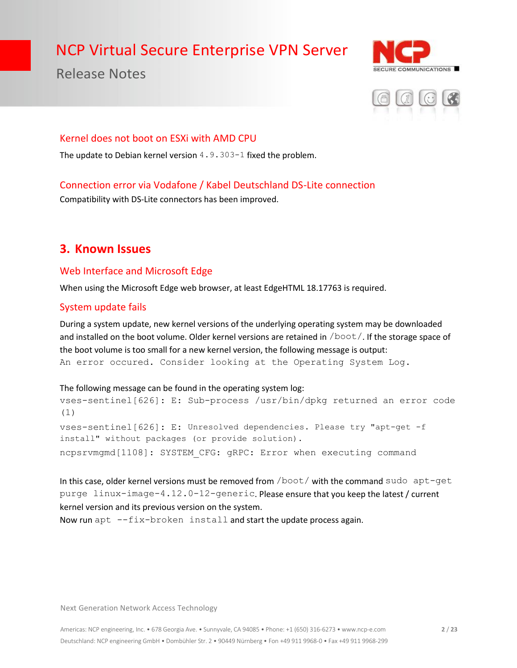Release Notes





#### Kernel does not boot on ESXi with AMD CPU

The update to Debian kernel version  $4.9.303-1$  fixed the problem.

#### Connection error via Vodafone / Kabel Deutschland DS-Lite connection

Compatibility with DS-Lite connectors has been improved.

### **3. Known Issues**

#### Web Interface and Microsoft Edge

When using the Microsoft Edge web browser, at least EdgeHTML 18.17763 is required.

#### System update fails

During a system update, new kernel versions of the underlying operating system may be downloaded and installed on the boot volume. Older kernel versions are retained in /boot/. If the storage space of the boot volume is too small for a new kernel version, the following message is output: An error occured. Consider looking at the Operating System Log.

#### The following message can be found in the operating system log:

vses-sentinel[626]: E: Sub-process /usr/bin/dpkg returned an error code (1) vses-sentinel[626]: E: Unresolved dependencies. Please try "apt-get -f install" without packages (or provide solution). ncpsrvmgmd[1108]: SYSTEM\_CFG: gRPC: Error when executing command

In this case, older kernel versions must be removed from /boot/ with the command sudo apt-get purge linux-image-4.12.0-12-generic. Please ensure that you keep the latest / current kernel version and its previous version on the system.

Now run apt --fix-broken install and start the update process again.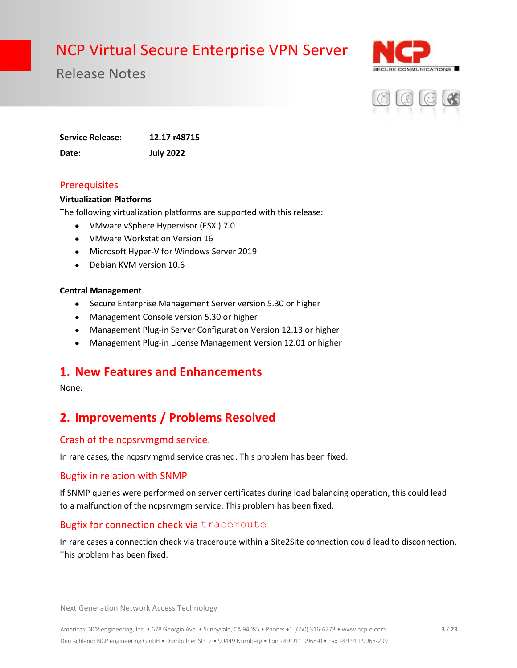

Release Notes



**Service Release: 12.17 r48715 Date: July 2022**

#### **Prerequisites**

#### **Virtualization Platforms**

The following virtualization platforms are supported with this release:

- VMware vSphere Hypervisor (ESXi) 7.0
- VMware Workstation Version 16
- Microsoft Hyper-V for Windows Server 2019
- Debian KVM version 10.6

#### **Central Management**

- Secure Enterprise Management Server version 5.30 or higher
- Management Console version 5.30 or higher
- Management Plug-in Server Configuration Version 12.13 or higher
- Management Plug-in License Management Version 12.01 or higher

### **1. New Features and Enhancements**

None.

## **2. Improvements / Problems Resolved**

#### Crash of the ncpsrvmgmd service.

In rare cases, the ncpsrvmgmd service crashed. This problem has been fixed.

#### Bugfix in relation with SNMP

If SNMP queries were performed on server certificates during load balancing operation, this could lead to a malfunction of the ncpsrvmgm service. This problem has been fixed.

#### Bugfix for connection check via traceroute

In rare cases a connection check via traceroute within a Site2Site connection could lead to disconnection. This problem has been fixed.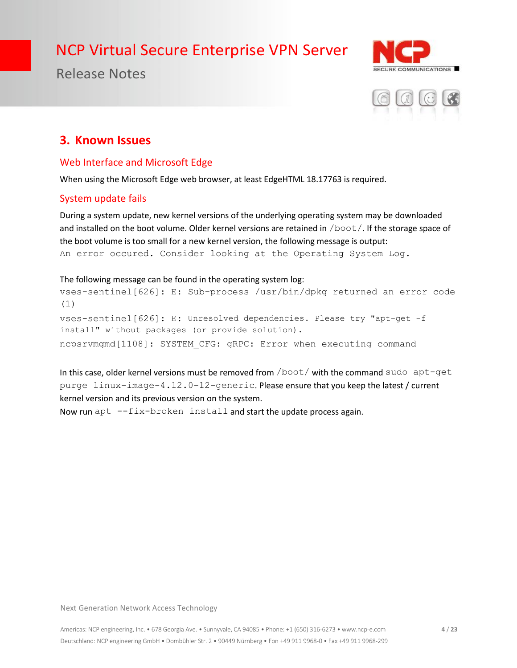

Release Notes



### **3. Known Issues**

#### Web Interface and Microsoft Edge

When using the Microsoft Edge web browser, at least EdgeHTML 18.17763 is required.

#### System update fails

During a system update, new kernel versions of the underlying operating system may be downloaded and installed on the boot volume. Older kernel versions are retained in  $/$ boot  $/$ . If the storage space of the boot volume is too small for a new kernel version, the following message is output: An error occured. Consider looking at the Operating System Log.

### The following message can be found in the operating system log:

vses-sentinel[626]: E: Sub-process /usr/bin/dpkg returned an error code (1) vses-sentinel[626]: E: Unresolved dependencies. Please try "apt-get -f install" without packages (or provide solution). ncpsrvmgmd[1108]: SYSTEM\_CFG: gRPC: Error when executing command

In this case, older kernel versions must be removed from /boot/ with the command sudo apt-get purge linux-image-4.12.0-12-generic. Please ensure that you keep the latest / current kernel version and its previous version on the system.

Now run apt  $-\text{fix}-\text{broken}$  install and start the update process again.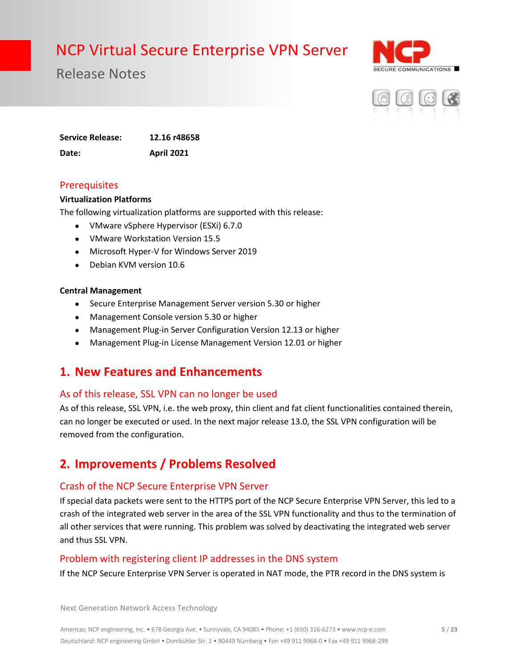

Release Notes



**Service Release: 12.16 r48658 Date: April 2021**

#### **Prerequisites**

#### **Virtualization Platforms**

The following virtualization platforms are supported with this release:

- VMware vSphere Hypervisor (ESXi) 6.7.0
- VMware Workstation Version 15.5
- Microsoft Hyper-V for Windows Server 2019
- Debian KVM version 10.6

#### **Central Management**

- Secure Enterprise Management Server version 5.30 or higher
- Management Console version 5.30 or higher
- Management Plug-in Server Configuration Version 12.13 or higher
- Management Plug-in License Management Version 12.01 or higher

### **1. New Features and Enhancements**

#### As of this release, SSL VPN can no longer be used

As of this release, SSL VPN, i.e. the web proxy, thin client and fat client functionalities contained therein, can no longer be executed or used. In the next major release 13.0, the SSL VPN configuration will be removed from the configuration.

### **2. Improvements / Problems Resolved**

#### Crash of the NCP Secure Enterprise VPN Server

If special data packets were sent to the HTTPS port of the NCP Secure Enterprise VPN Server, this led to a crash of the integrated web server in the area of the SSL VPN functionality and thus to the termination of all other services that were running. This problem was solved by deactivating the integrated web server and thus SSL VPN.

#### Problem with registering client IP addresses in the DNS system

If the NCP Secure Enterprise VPN Server is operated in NAT mode, the PTR record in the DNS system is

Next Generation Network Access Technology

Americas: NCP engineering, Inc. • 678 Georgia Ave. • Sunnyvale, CA 94085 • Phone: +1 (650) 316-6273 • www.ncp-e.com Deutschland: NCP engineering GmbH • Dombühler Str. 2 • 90449 Nürnberg • Fon +49 911 9968-0 • Fax +49 911 9968-299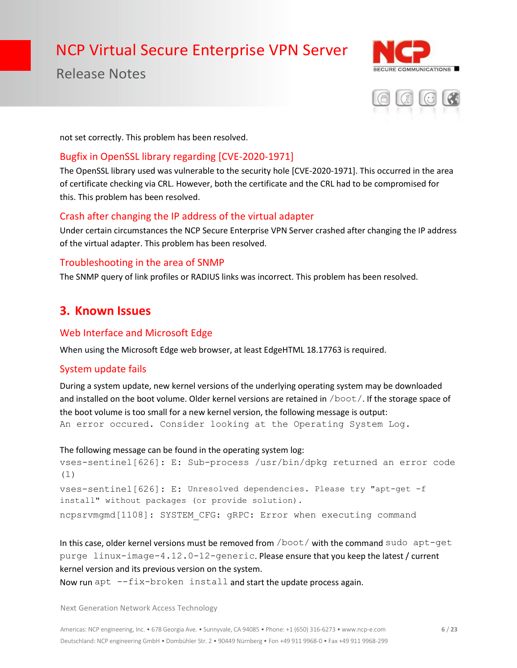Release Notes





not set correctly. This problem has been resolved.

#### Bugfix in OpenSSL library regarding [CVE-2020-1971]

The OpenSSL library used was vulnerable to the security hole [CVE-2020-1971]. This occurred in the area of certificate checking via CRL. However, both the certificate and the CRL had to be compromised for this. This problem has been resolved.

#### Crash after changing the IP address of the virtual adapter

Under certain circumstances the NCP Secure Enterprise VPN Server crashed after changing the IP address of the virtual adapter. This problem has been resolved.

#### Troubleshooting in the area of SNMP

The SNMP query of link profiles or RADIUS links was incorrect. This problem has been resolved.

### **3. Known Issues**

#### Web Interface and Microsoft Edge

When using the Microsoft Edge web browser, at least EdgeHTML 18.17763 is required.

#### System update fails

During a system update, new kernel versions of the underlying operating system may be downloaded and installed on the boot volume. Older kernel versions are retained in /boot/. If the storage space of the boot volume is too small for a new kernel version, the following message is output: An error occured. Consider looking at the Operating System Log.

```
The following message can be found in the operating system log:
vses-sentinel[626]: E: Sub-process /usr/bin/dpkg returned an error code 
(1)
vses-sentinel[626]: E: Unresolved dependencies. Please try "apt-get -f 
install" without packages (or provide solution).
ncpsrvmgmd[1108]: SYSTEM_CFG: gRPC: Error when executing command
```
In this case, older kernel versions must be removed from /boot/ with the command sudo apt-get purge linux-image-4.12.0-12-generic. Please ensure that you keep the latest / current kernel version and its previous version on the system. Now run apt  $-\text{fix}-\text{broken}$  install and start the update process again.

Next Generation Network Access Technology

Americas: NCP engineering, Inc. • 678 Georgia Ave. • Sunnyvale, CA 94085 • Phone: +1 (650) 316-6273 • www.ncp-e.com Deutschland: NCP engineering GmbH • Dombühler Str. 2 • 90449 Nürnberg • Fon +49 911 9968-0 • Fax +49 911 9968-299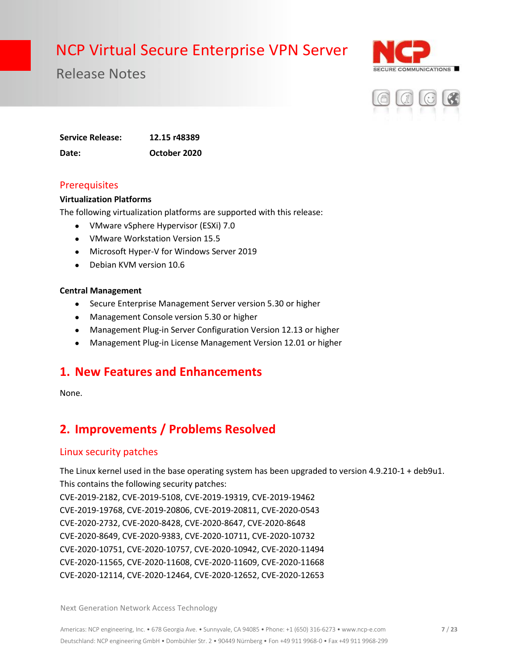

Release Notes



**Service Release: 12.15 r48389 Date: October 2020**

#### **Prerequisites**

#### **Virtualization Platforms**

The following virtualization platforms are supported with this release:

- VMware vSphere Hypervisor (ESXi) 7.0
- VMware Workstation Version 15.5
- Microsoft Hyper-V for Windows Server 2019
- Debian KVM version 10.6

#### **Central Management**

- Secure Enterprise Management Server version 5.30 or higher
- Management Console version 5.30 or higher
- Management Plug-in Server Configuration Version 12.13 or higher
- Management Plug-in License Management Version 12.01 or higher

### **1. New Features and Enhancements**

None.

## **2. Improvements / Problems Resolved**

#### Linux security patches

The Linux kernel used in the base operating system has been upgraded to version 4.9.210-1 + deb9u1. This contains the following security patches:

CVE-2019-2182, CVE-2019-5108, CVE-2019-19319, CVE-2019-19462 CVE-2019-19768, CVE-2019-20806, CVE-2019-20811, CVE-2020-0543 CVE-2020-2732, CVE-2020-8428, CVE-2020-8647, CVE-2020-8648 CVE-2020-8649, CVE-2020-9383, CVE-2020-10711, CVE-2020-10732 CVE-2020-10751, CVE-2020-10757, CVE-2020-10942, CVE-2020-11494 CVE-2020-11565, CVE-2020-11608, CVE-2020-11609, CVE-2020-11668 CVE-2020-12114, CVE-2020-12464, CVE-2020-12652, CVE-2020-12653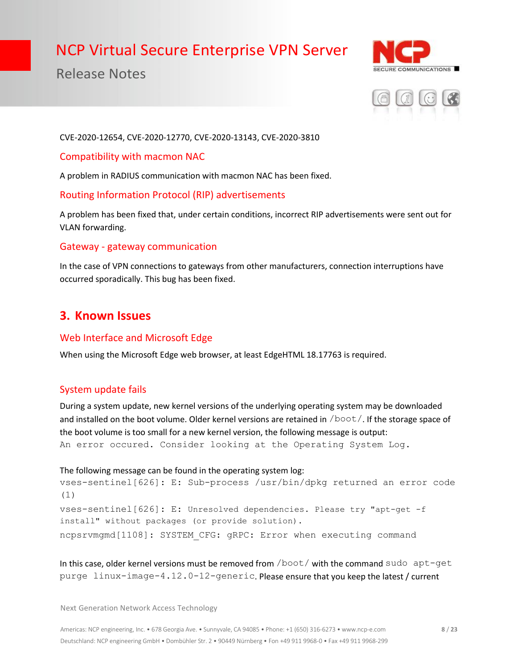## Release Notes





#### CVE-2020-12654, CVE-2020-12770, CVE-2020-13143, CVE-2020-3810

#### Compatibility with macmon NAC

A problem in RADIUS communication with macmon NAC has been fixed.

#### Routing Information Protocol (RIP) advertisements

A problem has been fixed that, under certain conditions, incorrect RIP advertisements were sent out for VLAN forwarding.

#### Gateway - gateway communication

In the case of VPN connections to gateways from other manufacturers, connection interruptions have occurred sporadically. This bug has been fixed.

### **3. Known Issues**

#### Web Interface and Microsoft Edge

When using the Microsoft Edge web browser, at least EdgeHTML 18.17763 is required.

#### System update fails

During a system update, new kernel versions of the underlying operating system may be downloaded and installed on the boot volume. Older kernel versions are retained in /boot/. If the storage space of the boot volume is too small for a new kernel version, the following message is output: An error occured. Consider looking at the Operating System Log.

#### The following message can be found in the operating system log: vses-sentinel[626]: E: Sub-process /usr/bin/dpkg returned an error code

```
(1)
vses-sentinel[626]: E: Unresolved dependencies. Please try "apt-get -f 
install" without packages (or provide solution).
ncpsrvmgmd[1108]: SYSTEM_CFG: gRPC: Error when executing command
```
In this case, older kernel versions must be removed from /boot/ with the command sudo apt-get purge linux-image-4.12.0-12-generic. Please ensure that you keep the latest / current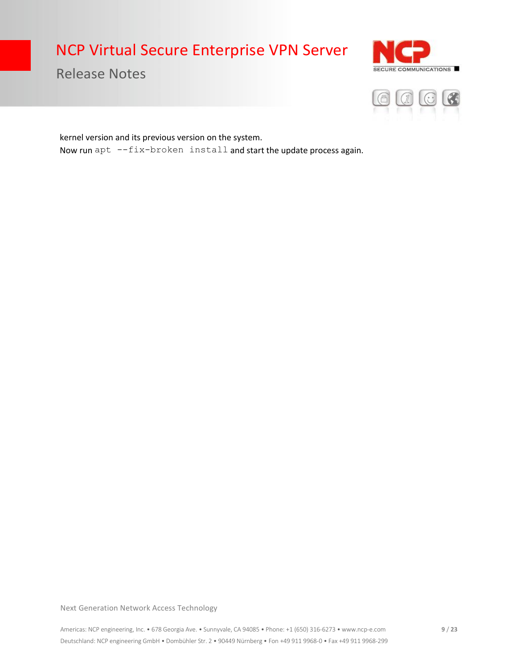Release Notes





kernel version and its previous version on the system. Now run apt  $--fix-broken$  install and start the update process again.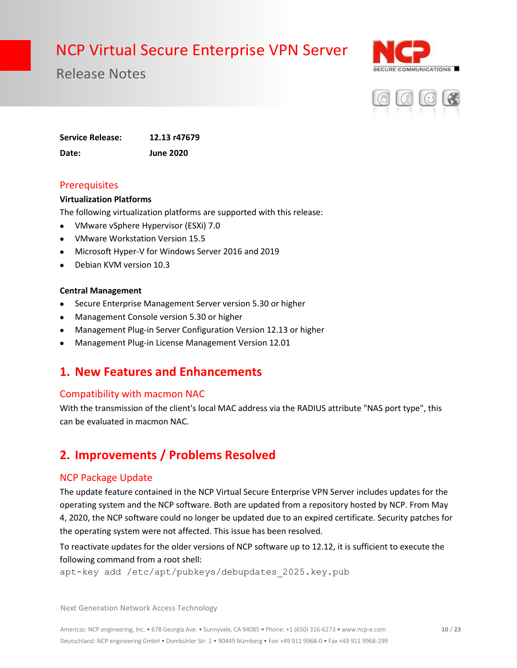

Release Notes



**Service Release: 12.13 r47679 Date: June 2020**

#### **Prerequisites**

#### **Virtualization Platforms**

The following virtualization platforms are supported with this release:

- VMware vSphere Hypervisor (ESXi) 7.0
- VMware Workstation Version 15.5
- Microsoft Hyper-V for Windows Server 2016 and 2019
- Debian KVM version 10.3

#### **Central Management**

- Secure Enterprise Management Server version 5.30 or higher
- Management Console version 5.30 or higher
- Management Plug-in Server Configuration Version 12.13 or higher
- Management Plug-in License Management Version 12.01

### **1. New Features and Enhancements**

#### Compatibility with macmon NAC

With the transmission of the client's local MAC address via the RADIUS attribute "NAS port type", this can be evaluated in macmon NAC.

## **2. Improvements / Problems Resolved**

#### NCP Package Update

The update feature contained in the NCP Virtual Secure Enterprise VPN Server includes updates for the operating system and the NCP software. Both are updated from a repository hosted by NCP. From May 4, 2020, the NCP software could no longer be updated due to an expired certificate. Security patches for the operating system were not affected. This issue has been resolved.

To reactivate updates for the older versions of NCP software up to 12.12, it is sufficient to execute the following command from a root shell:

apt-key add /etc/apt/pubkeys/debupdates\_2025.key.pub

Next Generation Network Access Technology

Americas: NCP engineering, Inc. • 678 Georgia Ave. • Sunnyvale, CA 94085 • Phone: +1 (650) 316-6273 • www.ncp-e.com Deutschland: NCP engineering GmbH • Dombühler Str. 2 • 90449 Nürnberg • Fon +49 911 9968-0 • Fax +49 911 9968-299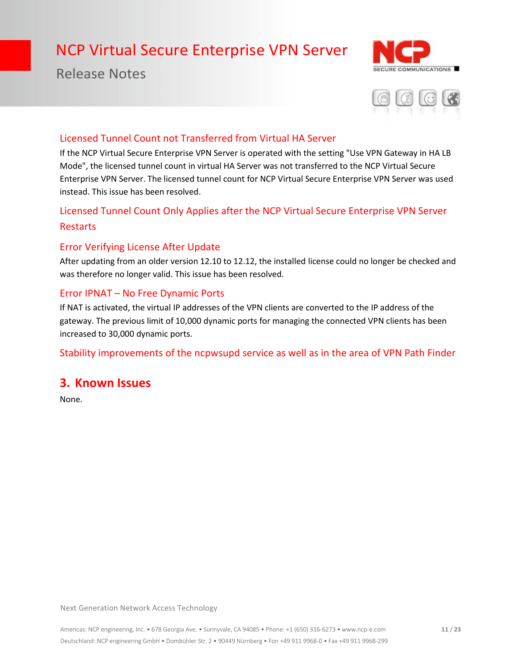## Release Notes





#### Licensed Tunnel Count not Transferred from Virtual HA Server

If the NCP Virtual Secure Enterprise VPN Server is operated with the setting "Use VPN Gateway in HA LB Mode", the licensed tunnel count in virtual HA Server was not transferred to the NCP Virtual Secure Enterprise VPN Server. The licensed tunnel count for NCP Virtual Secure Enterprise VPN Server was used instead. This issue has been resolved.

### Licensed Tunnel Count Only Applies after the NCP Virtual Secure Enterprise VPN Server Restarts

#### Error Verifying License After Update

After updating from an older version 12.10 to 12.12, the installed license could no longer be checked and was therefore no longer valid. This issue has been resolved.

#### Error IPNAT – No Free Dynamic Ports

If NAT is activated, the virtual IP addresses of the VPN clients are converted to the IP address of the gateway. The previous limit of 10,000 dynamic ports for managing the connected VPN clients has been increased to 30,000 dynamic ports.

Stability improvements of the ncpwsupd service as well as in the area of VPN Path Finder

### **3. Known Issues**

None.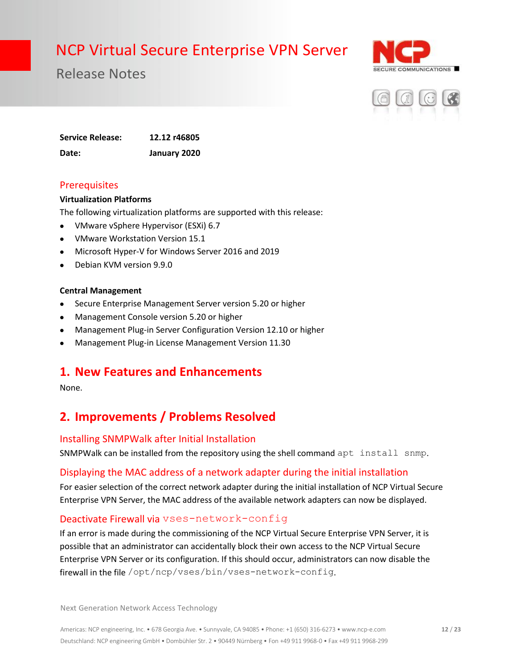

Release Notes



**Service Release: 12.12 r46805 Date: January 2020**

#### **Prerequisites**

#### **Virtualization Platforms**

The following virtualization platforms are supported with this release:

- VMware vSphere Hypervisor (ESXi) 6.7
- VMware Workstation Version 15.1
- Microsoft Hyper-V for Windows Server 2016 and 2019
- Debian KVM version 9.9.0

#### **Central Management**

- Secure Enterprise Management Server version 5.20 or higher
- Management Console version 5.20 or higher
- Management Plug-in Server Configuration Version 12.10 or higher
- Management Plug-in License Management Version 11.30

### **1. New Features and Enhancements**

None.

## **2. Improvements / Problems Resolved**

#### Installing SNMPWalk after Initial Installation

SNMPWalk can be installed from the repository using the shell command apt install snmp.

#### Displaying the MAC address of a network adapter during the initial installation

For easier selection of the correct network adapter during the initial installation of NCP Virtual Secure Enterprise VPN Server, the MAC address of the available network adapters can now be displayed.

#### Deactivate Firewall via vses-network-config

If an error is made during the commissioning of the NCP Virtual Secure Enterprise VPN Server, it is possible that an administrator can accidentally block their own access to the NCP Virtual Secure Enterprise VPN Server or its configuration. If this should occur, administrators can now disable the firewall in the file /opt/ncp/vses/bin/vses-network-config.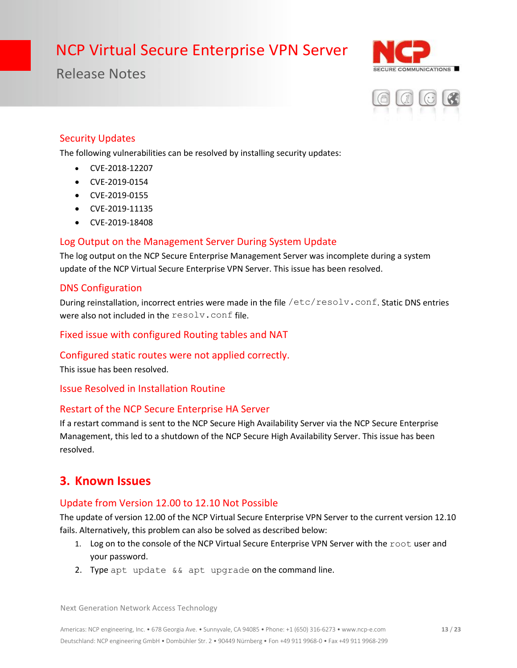Release Notes





#### Security Updates

The following vulnerabilities can be resolved by installing security updates:

- CVE-2018-12207
- CVE-2019-0154
- CVE-2019-0155
- CVE-2019-11135
- CVE-2019-18408

#### Log Output on the Management Server During System Update

The log output on the NCP Secure Enterprise Management Server was incomplete during a system update of the NCP Virtual Secure Enterprise VPN Server. This issue has been resolved.

#### DNS Configuration

During reinstallation, incorrect entries were made in the file /etc/resolv.conf. Static DNS entries were also not included in the resolv.conf file.

Fixed issue with configured Routing tables and NAT

#### Configured static routes were not applied correctly.

This issue has been resolved.

Issue Resolved in Installation Routine

#### Restart of the NCP Secure Enterprise HA Server

If a restart command is sent to the NCP Secure High Availability Server via the NCP Secure Enterprise Management, this led to a shutdown of the NCP Secure High Availability Server. This issue has been resolved.

### **3. Known Issues**

#### Update from Version 12.00 to 12.10 Not Possible

The update of version 12.00 of the NCP Virtual Secure Enterprise VPN Server to the current version 12.10 fails. Alternatively, this problem can also be solved as described below:

- 1. Log on to the console of the NCP Virtual Secure Enterprise VPN Server with the root user and your password.
- 2. Type apt update && apt upgrade on the command line.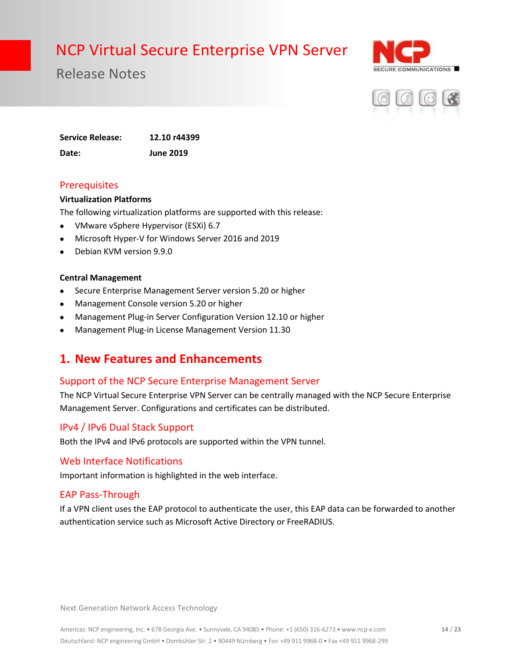

Release Notes



**Service Release: 12.10 r44399 Date: June 2019**

#### **Prerequisites**

#### **Virtualization Platforms**

The following virtualization platforms are supported with this release:

- VMware vSphere Hypervisor (ESXi) 6.7
- Microsoft Hyper-V for Windows Server 2016 and 2019
- Debian KVM version 9.9.0

#### **Central Management**

- Secure Enterprise Management Server version 5.20 or higher
- Management Console version 5.20 or higher
- Management Plug-in Server Configuration Version 12.10 or higher
- Management Plug-in License Management Version 11.30

### **1. New Features and Enhancements**

#### Support of the NCP Secure Enterprise Management Server

The NCP Virtual Secure Enterprise VPN Server can be centrally managed with the NCP Secure Enterprise Management Server. Configurations and certificates can be distributed.

#### IPv4 / IPv6 Dual Stack Support

Both the IPv4 and IPv6 protocols are supported within the VPN tunnel.

#### Web Interface Notifications

Important information is highlighted in the web interface.

#### EAP Pass-Through

If a VPN client uses the EAP protocol to authenticate the user, this EAP data can be forwarded to another authentication service such as Microsoft Active Directory or FreeRADIUS.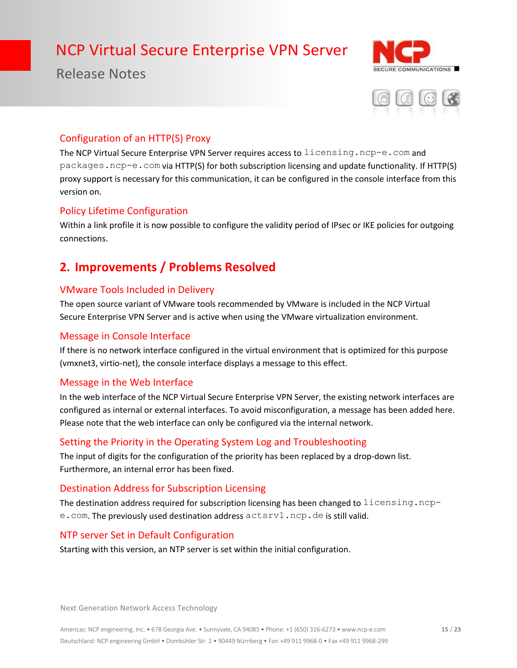## Release Notes





#### Configuration of an HTTP(S) Proxy

The NCP Virtual Secure Enterprise VPN Server requires access to licensing.ncp-e.com and packages.ncp-e.com via HTTP(S) for both subscription licensing and update functionality. If HTTP(S) proxy support is necessary for this communication, it can be configured in the console interface from this version on.

#### Policy Lifetime Configuration

Within a link profile it is now possible to configure the validity period of IPsec or IKE policies for outgoing connections.

## **2. Improvements / Problems Resolved**

#### VMware Tools Included in Delivery

The open source variant of VMware tools recommended by VMware is included in the NCP Virtual Secure Enterprise VPN Server and is active when using the VMware virtualization environment.

#### Message in Console Interface

If there is no network interface configured in the virtual environment that is optimized for this purpose (vmxnet3, virtio-net), the console interface displays a message to this effect.

#### Message in the Web Interface

In the web interface of the NCP Virtual Secure Enterprise VPN Server, the existing network interfaces are configured as internal or external interfaces. To avoid misconfiguration, a message has been added here. Please note that the web interface can only be configured via the internal network.

#### Setting the Priority in the Operating System Log and Troubleshooting

The input of digits for the configuration of the priority has been replaced by a drop-down list. Furthermore, an internal error has been fixed.

#### Destination Address for Subscription Licensing

The destination address required for subscription licensing has been changed to  $l$  icensing.ncpe.com. The previously used destination address actsrv1.ncp.de is still valid.

#### NTP server Set in Default Configuration

Starting with this version, an NTP server is set within the initial configuration.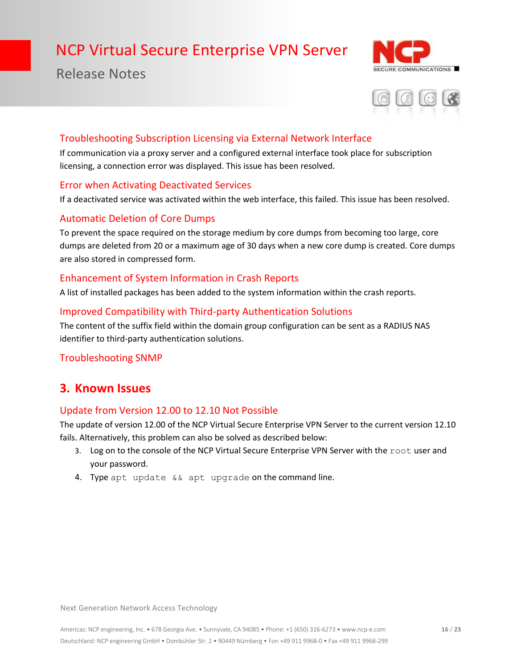## Release Notes





#### Troubleshooting Subscription Licensing via External Network Interface

If communication via a proxy server and a configured external interface took place for subscription licensing, a connection error was displayed. This issue has been resolved.

#### Error when Activating Deactivated Services

If a deactivated service was activated within the web interface, this failed. This issue has been resolved.

#### Automatic Deletion of Core Dumps

To prevent the space required on the storage medium by core dumps from becoming too large, core dumps are deleted from 20 or a maximum age of 30 days when a new core dump is created. Core dumps are also stored in compressed form.

#### Enhancement of System Information in Crash Reports

A list of installed packages has been added to the system information within the crash reports.

#### Improved Compatibility with Third-party Authentication Solutions

The content of the suffix field within the domain group configuration can be sent as a RADIUS NAS identifier to third-party authentication solutions.

#### Troubleshooting SNMP

### **3. Known Issues**

#### Update from Version 12.00 to 12.10 Not Possible

The update of version 12.00 of the NCP Virtual Secure Enterprise VPN Server to the current version 12.10 fails. Alternatively, this problem can also be solved as described below:

- 3. Log on to the console of the NCP Virtual Secure Enterprise VPN Server with the root user and your password.
- 4. Type apt update && apt upgrade on the command line.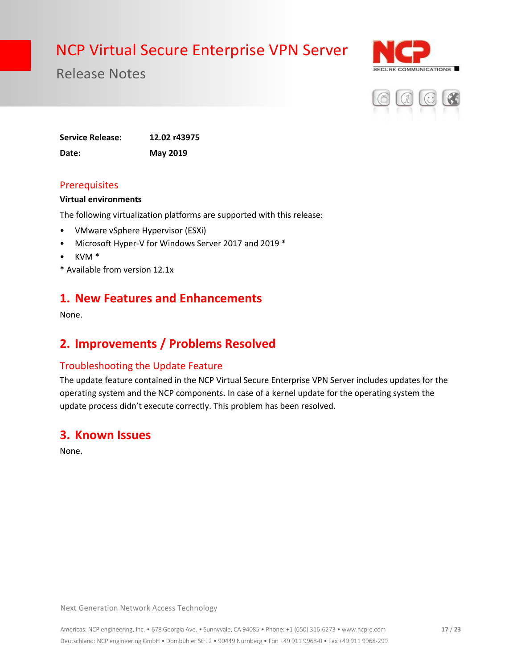

Release Notes



**Service Release: 12.02 r43975 Date: May 2019**

#### **Prerequisites**

#### **Virtual environments**

The following virtualization platforms are supported with this release:

- VMware vSphere Hypervisor (ESXi)
- Microsoft Hyper-V for Windows Server 2017 and 2019 \*
- KVM \*
- \* Available from version 12.1x

### **1. New Features and Enhancements**

None.

### **2. Improvements / Problems Resolved**

#### Troubleshooting the Update Feature

The update feature contained in the NCP Virtual Secure Enterprise VPN Server includes updates for the operating system and the NCP components. In case of a kernel update for the operating system the update process didn't execute correctly. This problem has been resolved.

### **3. Known Issues**

None.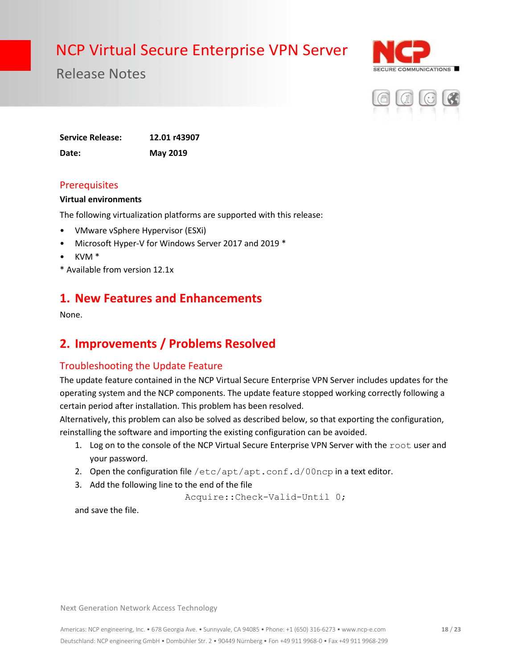

Release Notes



**Service Release: 12.01 r43907 Date: May 2019**

#### **Prerequisites**

#### **Virtual environments**

The following virtualization platforms are supported with this release:

- VMware vSphere Hypervisor (ESXi)
- Microsoft Hyper-V for Windows Server 2017 and 2019 \*
- KVM \*
- \* Available from version 12.1x

### **1. New Features and Enhancements**

None.

## **2. Improvements / Problems Resolved**

#### Troubleshooting the Update Feature

The update feature contained in the NCP Virtual Secure Enterprise VPN Server includes updates for the operating system and the NCP components. The update feature stopped working correctly following a certain period after installation. This problem has been resolved.

Alternatively, this problem can also be solved as described below, so that exporting the configuration, reinstalling the software and importing the existing configuration can be avoided.

- 1. Log on to the console of the NCP Virtual Secure Enterprise VPN Server with the root user and your password.
- 2. Open the configuration file  $/etc/apt/apt.conf.d/00ncp$  in a text editor.
- 3. Add the following line to the end of the file

Acquire::Check-Valid-Until 0;

and save the file.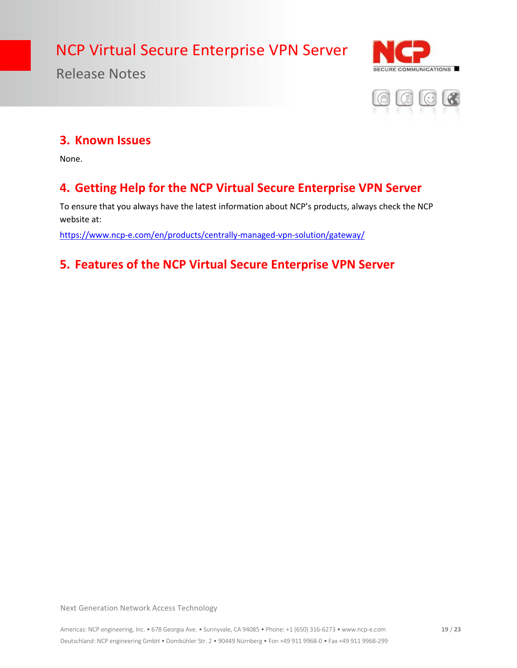

## Release Notes



### **3. Known Issues**

None.

## **4. Getting Help for the NCP Virtual Secure Enterprise VPN Server**

To ensure that you always have the latest information about NCP's products, always check the NCP website at:

<https://www.ncp-e.com/en/products/centrally-managed-vpn-solution/gateway/>

## **5. Features of the NCP Virtual Secure Enterprise VPN Server**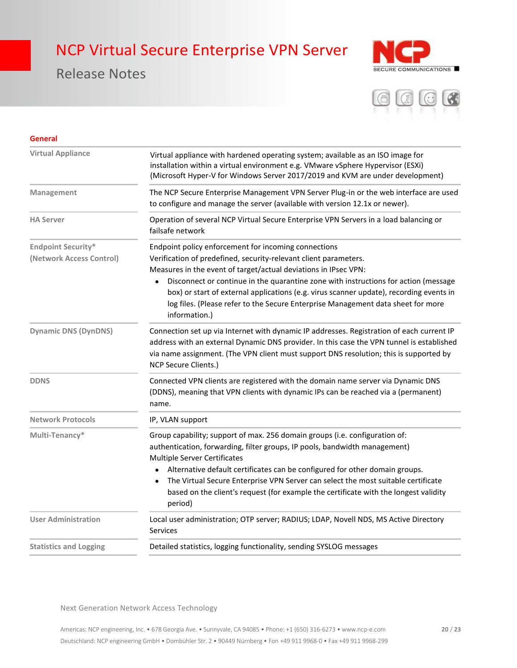## Release Notes





| <b>General</b>                                        |                                                                                                                                                                                                                                                                                                                                                                                                                                                                                                   |
|-------------------------------------------------------|---------------------------------------------------------------------------------------------------------------------------------------------------------------------------------------------------------------------------------------------------------------------------------------------------------------------------------------------------------------------------------------------------------------------------------------------------------------------------------------------------|
| <b>Virtual Appliance</b>                              | Virtual appliance with hardened operating system; available as an ISO image for<br>installation within a virtual environment e.g. VMware vSphere Hypervisor (ESXi)<br>(Microsoft Hyper-V for Windows Server 2017/2019 and KVM are under development)                                                                                                                                                                                                                                              |
| Management                                            | The NCP Secure Enterprise Management VPN Server Plug-in or the web interface are used<br>to configure and manage the server (available with version 12.1x or newer).                                                                                                                                                                                                                                                                                                                              |
| <b>HA Server</b>                                      | Operation of several NCP Virtual Secure Enterprise VPN Servers in a load balancing or<br>failsafe network                                                                                                                                                                                                                                                                                                                                                                                         |
| <b>Endpoint Security*</b><br>(Network Access Control) | Endpoint policy enforcement for incoming connections<br>Verification of predefined, security-relevant client parameters.<br>Measures in the event of target/actual deviations in IPsec VPN:<br>Disconnect or continue in the quarantine zone with instructions for action (message<br>box) or start of external applications (e.g. virus scanner update), recording events in<br>log files. (Please refer to the Secure Enterprise Management data sheet for more<br>information.)                |
| <b>Dynamic DNS (DynDNS)</b>                           | Connection set up via Internet with dynamic IP addresses. Registration of each current IP<br>address with an external Dynamic DNS provider. In this case the VPN tunnel is established<br>via name assignment. (The VPN client must support DNS resolution; this is supported by<br>NCP Secure Clients.)                                                                                                                                                                                          |
| <b>DDNS</b>                                           | Connected VPN clients are registered with the domain name server via Dynamic DNS<br>(DDNS), meaning that VPN clients with dynamic IPs can be reached via a (permanent)<br>name.                                                                                                                                                                                                                                                                                                                   |
| <b>Network Protocols</b>                              | IP, VLAN support                                                                                                                                                                                                                                                                                                                                                                                                                                                                                  |
| Multi-Tenancy*                                        | Group capability; support of max. 256 domain groups (i.e. configuration of:<br>authentication, forwarding, filter groups, IP pools, bandwidth management)<br><b>Multiple Server Certificates</b><br>Alternative default certificates can be configured for other domain groups.<br>$\bullet$<br>The Virtual Secure Enterprise VPN Server can select the most suitable certificate<br>$\bullet$<br>based on the client's request (for example the certificate with the longest validity<br>period) |
| <b>User Administration</b>                            | Local user administration; OTP server; RADIUS; LDAP, Novell NDS, MS Active Directory<br><b>Services</b>                                                                                                                                                                                                                                                                                                                                                                                           |
| <b>Statistics and Logging</b>                         | Detailed statistics, logging functionality, sending SYSLOG messages                                                                                                                                                                                                                                                                                                                                                                                                                               |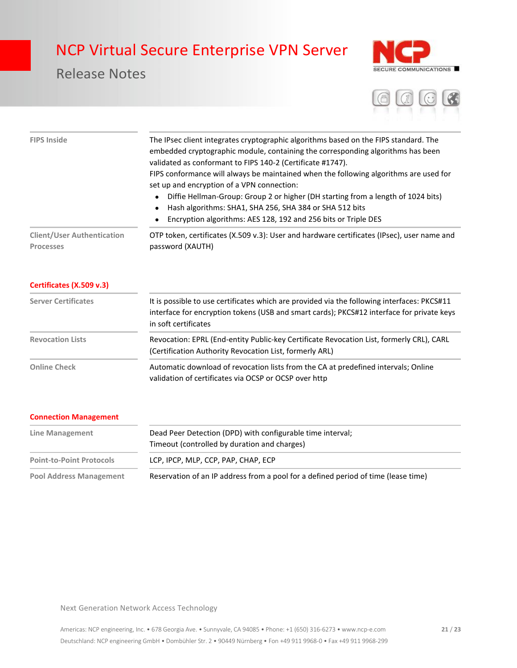## Release Notes





| <b>FIPS Inside</b>                                    | The IPsec client integrates cryptographic algorithms based on the FIPS standard. The<br>embedded cryptographic module, containing the corresponding algorithms has been<br>validated as conformant to FIPS 140-2 (Certificate #1747).<br>FIPS conformance will always be maintained when the following algorithms are used for<br>set up and encryption of a VPN connection:<br>Diffie Hellman-Group: Group 2 or higher (DH starting from a length of 1024 bits)<br>$\bullet$<br>Hash algorithms: SHA1, SHA 256, SHA 384 or SHA 512 bits<br>٠<br>Encryption algorithms: AES 128, 192 and 256 bits or Triple DES |
|-------------------------------------------------------|-----------------------------------------------------------------------------------------------------------------------------------------------------------------------------------------------------------------------------------------------------------------------------------------------------------------------------------------------------------------------------------------------------------------------------------------------------------------------------------------------------------------------------------------------------------------------------------------------------------------|
| <b>Client/User Authentication</b><br><b>Processes</b> | OTP token, certificates (X.509 v.3): User and hardware certificates (IPsec), user name and<br>password (XAUTH)                                                                                                                                                                                                                                                                                                                                                                                                                                                                                                  |
| Certificates (X.509 v.3)                              |                                                                                                                                                                                                                                                                                                                                                                                                                                                                                                                                                                                                                 |
| <b>Server Certificates</b>                            | It is possible to use certificates which are provided via the following interfaces: PKCS#11<br>interface for encryption tokens (USB and smart cards); PKCS#12 interface for private keys<br>in soft certificates                                                                                                                                                                                                                                                                                                                                                                                                |
| <b>Revocation Lists</b>                               | Revocation: EPRL (End-entity Public-key Certificate Revocation List, formerly CRL), CARL<br>(Certification Authority Revocation List, formerly ARL)                                                                                                                                                                                                                                                                                                                                                                                                                                                             |
| <b>Online Check</b>                                   | Automatic download of revocation lists from the CA at predefined intervals; Online<br>validation of certificates via OCSP or OCSP over http                                                                                                                                                                                                                                                                                                                                                                                                                                                                     |

#### **Connection Management**

| Line Management                 | Dead Peer Detection (DPD) with configurable time interval;<br>Timeout (controlled by duration and charges) |
|---------------------------------|------------------------------------------------------------------------------------------------------------|
| <b>Point-to-Point Protocols</b> | LCP, IPCP, MLP, CCP, PAP, CHAP, ECP                                                                        |
| <b>Pool Address Management</b>  | Reservation of an IP address from a pool for a defined period of time (lease time)                         |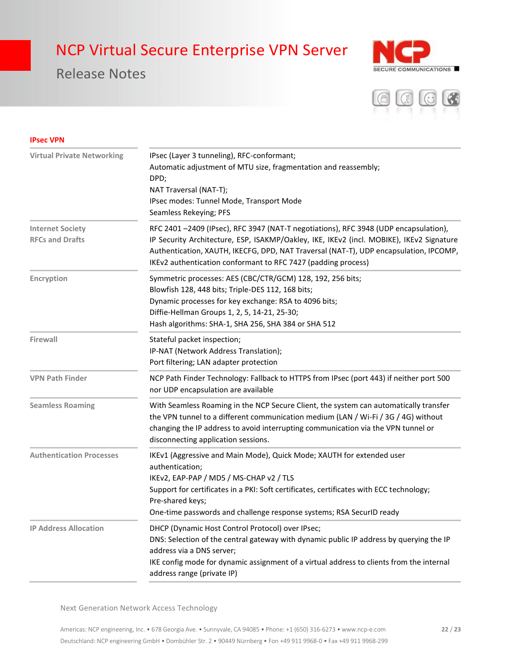## Release Notes





#### **IPsec VPN**

| <b>Virtual Private Networking</b>                 | IPsec (Layer 3 tunneling), RFC-conformant;<br>Automatic adjustment of MTU size, fragmentation and reassembly;<br>DPD;<br>NAT Traversal (NAT-T);<br>IPsec modes: Tunnel Mode, Transport Mode<br>Seamless Rekeying; PFS                                                                                                                     |
|---------------------------------------------------|-------------------------------------------------------------------------------------------------------------------------------------------------------------------------------------------------------------------------------------------------------------------------------------------------------------------------------------------|
| <b>Internet Society</b><br><b>RFCs and Drafts</b> | RFC 2401-2409 (IPsec), RFC 3947 (NAT-T negotiations), RFC 3948 (UDP encapsulation),<br>IP Security Architecture, ESP, ISAKMP/Oakley, IKE, IKEv2 (incl. MOBIKE), IKEv2 Signature<br>Authentication, XAUTH, IKECFG, DPD, NAT Traversal (NAT-T), UDP encapsulation, IPCOMP,<br>IKEv2 authentication conformant to RFC 7427 (padding process) |
| Encryption                                        | Symmetric processes: AES (CBC/CTR/GCM) 128, 192, 256 bits;<br>Blowfish 128, 448 bits; Triple-DES 112, 168 bits;<br>Dynamic processes for key exchange: RSA to 4096 bits;<br>Diffie-Hellman Groups 1, 2, 5, 14-21, 25-30;<br>Hash algorithms: SHA-1, SHA 256, SHA 384 or SHA 512                                                           |
| Firewall                                          | Stateful packet inspection;<br>IP-NAT (Network Address Translation);<br>Port filtering; LAN adapter protection                                                                                                                                                                                                                            |
| <b>VPN Path Finder</b>                            | NCP Path Finder Technology: Fallback to HTTPS from IPsec (port 443) if neither port 500<br>nor UDP encapsulation are available                                                                                                                                                                                                            |
| <b>Seamless Roaming</b>                           | With Seamless Roaming in the NCP Secure Client, the system can automatically transfer<br>the VPN tunnel to a different communication medium (LAN / Wi-Fi / 3G / 4G) without<br>changing the IP address to avoid interrupting communication via the VPN tunnel or<br>disconnecting application sessions.                                   |
| <b>Authentication Processes</b>                   | IKEv1 (Aggressive and Main Mode), Quick Mode; XAUTH for extended user<br>authentication;<br>IKEv2, EAP-PAP / MD5 / MS-CHAP v2 / TLS<br>Support for certificates in a PKI: Soft certificates, certificates with ECC technology;<br>Pre-shared keys;<br>One-time passwords and challenge response systems; RSA SecurID ready                |
| <b>IP Address Allocation</b>                      | DHCP (Dynamic Host Control Protocol) over IPsec;<br>DNS: Selection of the central gateway with dynamic public IP address by querying the IP<br>address via a DNS server;<br>IKE config mode for dynamic assignment of a virtual address to clients from the internal<br>address range (private IP)                                        |